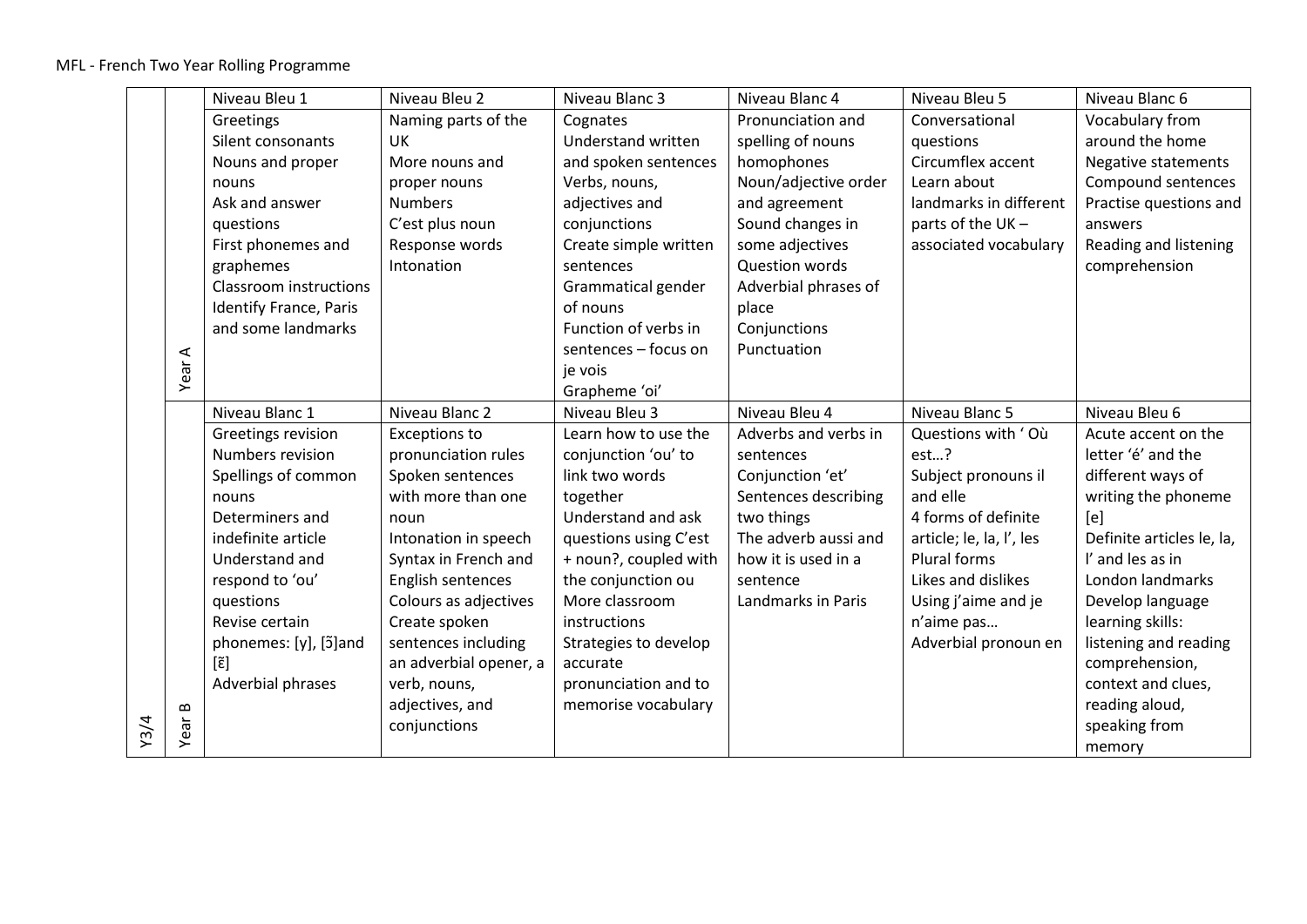|      |          | Niveau Bleu 1          | Niveau Bleu 2          | Niveau Blanc 3        | Niveau Blanc 4        | Niveau Bleu 5            | Niveau Blanc 6             |
|------|----------|------------------------|------------------------|-----------------------|-----------------------|--------------------------|----------------------------|
|      |          | Greetings              | Naming parts of the    | Cognates              | Pronunciation and     | Conversational           | Vocabulary from            |
|      |          | Silent consonants      | UK                     | Understand written    | spelling of nouns     | questions                | around the home            |
|      |          | Nouns and proper       | More nouns and         | and spoken sentences  | homophones            | Circumflex accent        | <b>Negative statements</b> |
|      |          | nouns                  | proper nouns           | Verbs, nouns,         | Noun/adjective order  | Learn about              | Compound sentences         |
|      |          | Ask and answer         | <b>Numbers</b>         | adjectives and        | and agreement         | landmarks in different   | Practise questions and     |
|      |          | questions              | C'est plus noun        | conjunctions          | Sound changes in      | parts of the UK -        | answers                    |
|      |          | First phonemes and     | Response words         | Create simple written | some adjectives       | associated vocabulary    | Reading and listening      |
|      |          | graphemes              | Intonation             | sentences             | <b>Question words</b> |                          | comprehension              |
|      |          | Classroom instructions |                        | Grammatical gender    | Adverbial phrases of  |                          |                            |
|      |          | Identify France, Paris |                        | of nouns              | place                 |                          |                            |
|      |          | and some landmarks     |                        | Function of verbs in  | Conjunctions          |                          |                            |
|      | ⋖        |                        |                        | sentences - focus on  | Punctuation           |                          |                            |
|      | Year     |                        |                        | je vois               |                       |                          |                            |
|      |          |                        |                        | Grapheme 'oi'         |                       |                          |                            |
|      |          | Niveau Blanc 1         | Niveau Blanc 2         | Niveau Bleu 3         | Niveau Bleu 4         | Niveau Blanc 5           | Niveau Bleu 6              |
|      |          | Greetings revision     | <b>Exceptions to</b>   | Learn how to use the  | Adverbs and verbs in  | Questions with 'Où       | Acute accent on the        |
|      |          | Numbers revision       | pronunciation rules    | conjunction 'ou' to   | sentences             | est?                     | letter 'é' and the         |
|      |          | Spellings of common    | Spoken sentences       | link two words        | Conjunction 'et'      | Subject pronouns il      | different ways of          |
|      |          | nouns                  | with more than one     | together              | Sentences describing  | and elle                 | writing the phoneme        |
|      |          | Determiners and        | noun                   | Understand and ask    | two things            | 4 forms of definite      | [e]                        |
|      |          | indefinite article     | Intonation in speech   | questions using C'est | The adverb aussi and  | article; le, la, l', les | Definite articles le, la,  |
|      |          | Understand and         | Syntax in French and   | + noun?, coupled with | how it is used in a   | Plural forms             | I' and les as in           |
|      |          | respond to 'ou'        | English sentences      | the conjunction ou    | sentence              | Likes and dislikes       | London landmarks           |
|      |          | questions              | Colours as adjectives  | More classroom        | Landmarks in Paris    | Using j'aime and je      | Develop language           |
|      |          | Revise certain         | Create spoken          | instructions          |                       | n'aime pas               | learning skills:           |
|      |          | phonemes: [y], [5] and | sentences including    | Strategies to develop |                       | Adverbial pronoun en     | listening and reading      |
|      |          | $[\tilde{\epsilon}]$   | an adverbial opener, a | accurate              |                       |                          | comprehension,             |
|      |          | Adverbial phrases      | verb, nouns,           | pronunciation and to  |                       |                          | context and clues,         |
|      | $\bf{m}$ |                        | adjectives, and        | memorise vocabulary   |                       |                          | reading aloud,             |
| Y3/4 | Year     |                        | conjunctions           |                       |                       |                          | speaking from              |
|      |          |                        |                        |                       |                       |                          | memory                     |